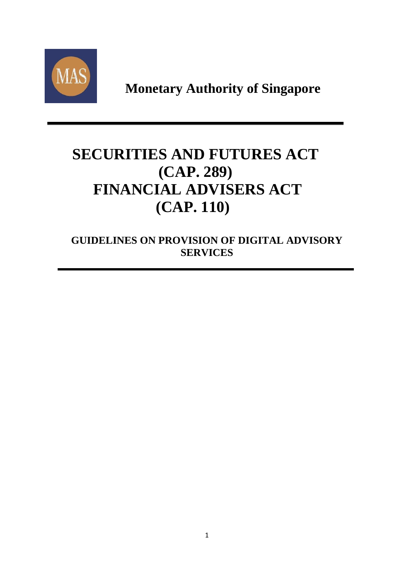

**Monetary Authority of Singapore**

# **SECURITIES AND FUTURES ACT (CAP. 289) FINANCIAL ADVISERS ACT (CAP. 110)**

**GUIDELINES ON PROVISION OF DIGITAL ADVISORY SERVICES**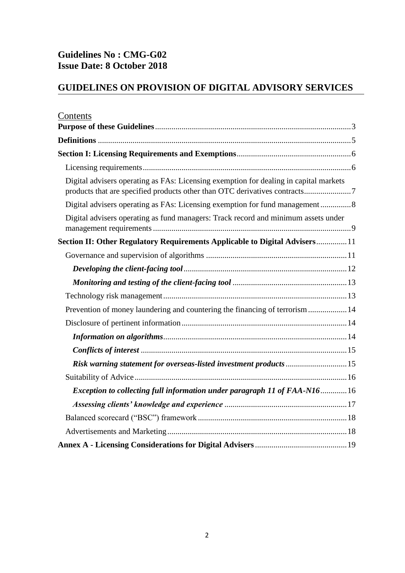## **Guidelines No : CMG-G02 Issue Date: 8 October 2018**

## **GUIDELINES ON PROVISION OF DIGITAL ADVISORY SERVICES**

| Contents                                                                                                                                                            |
|---------------------------------------------------------------------------------------------------------------------------------------------------------------------|
|                                                                                                                                                                     |
|                                                                                                                                                                     |
|                                                                                                                                                                     |
|                                                                                                                                                                     |
| Digital advisers operating as FAs: Licensing exemption for dealing in capital markets<br>products that are specified products other than OTC derivatives contracts7 |
| Digital advisers operating as FAs: Licensing exemption for fund management8                                                                                         |
| Digital advisers operating as fund managers: Track record and minimum assets under                                                                                  |
| Section II: Other Regulatory Requirements Applicable to Digital Advisers11                                                                                          |
|                                                                                                                                                                     |
|                                                                                                                                                                     |
|                                                                                                                                                                     |
|                                                                                                                                                                     |
| Prevention of money laundering and countering the financing of terrorism  14                                                                                        |
|                                                                                                                                                                     |
|                                                                                                                                                                     |
|                                                                                                                                                                     |
| Risk warning statement for overseas-listed investment products 15                                                                                                   |
|                                                                                                                                                                     |
| Exception to collecting full information under paragraph 11 of FAA-N1616                                                                                            |
|                                                                                                                                                                     |
|                                                                                                                                                                     |
|                                                                                                                                                                     |
|                                                                                                                                                                     |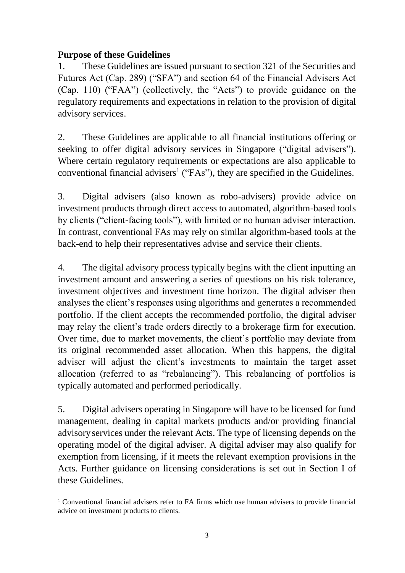#### <span id="page-2-0"></span>**Purpose of these Guidelines**

1. These Guidelines are issued pursuant to section 321 of the Securities and Futures Act (Cap. 289) ("SFA") and section 64 of the Financial Advisers Act (Cap. 110) ("FAA") (collectively, the "Acts") to provide guidance on the regulatory requirements and expectations in relation to the provision of digital advisory services.

2. These Guidelines are applicable to all financial institutions offering or seeking to offer digital advisory services in Singapore ("digital advisers"). Where certain regulatory requirements or expectations are also applicable to conventional financial advisers<sup>1</sup> ("FAs"), they are specified in the Guidelines.

3. Digital advisers (also known as robo-advisers) provide advice on investment products through direct access to automated, algorithm-based tools by clients ("client-facing tools"), with limited or no human adviser interaction. In contrast, conventional FAs may rely on similar algorithm-based tools at the back-end to help their representatives advise and service their clients.

4. The digital advisory process typically begins with the client inputting an investment amount and answering a series of questions on his risk tolerance, investment objectives and investment time horizon. The digital adviser then analyses the client's responses using algorithms and generates a recommended portfolio. If the client accepts the recommended portfolio, the digital adviser may relay the client's trade orders directly to a brokerage firm for execution. Over time, due to market movements, the client's portfolio may deviate from its original recommended asset allocation. When this happens, the digital adviser will adjust the client's investments to maintain the target asset allocation (referred to as "rebalancing"). This rebalancing of portfolios is typically automated and performed periodically.

5. Digital advisers operating in Singapore will have to be licensed for fund management, dealing in capital markets products and/or providing financial advisoryservices under the relevant Acts. The type of licensing depends on the operating model of the digital adviser. A digital adviser may also qualify for exemption from licensing, if it meets the relevant exemption provisions in the Acts. Further guidance on licensing considerations is set out in Section I of these Guidelines.

<sup>1</sup> <sup>1</sup> Conventional financial advisers refer to FA firms which use human advisers to provide financial advice on investment products to clients.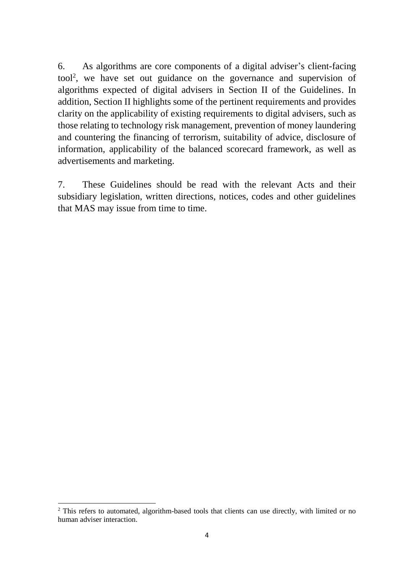6. As algorithms are core components of a digital adviser's client-facing tool<sup>2</sup> , we have set out guidance on the governance and supervision of algorithms expected of digital advisers in Section II of the Guidelines. In addition, Section II highlights some of the pertinent requirements and provides clarity on the applicability of existing requirements to digital advisers, such as those relating to technology risk management, prevention of money laundering and countering the financing of terrorism, suitability of advice, disclosure of information, applicability of the balanced scorecard framework, as well as advertisements and marketing.

7. These Guidelines should be read with the relevant Acts and their subsidiary legislation, written directions, notices, codes and other guidelines that MAS may issue from time to time.

1

<sup>&</sup>lt;sup>2</sup> This refers to automated, algorithm-based tools that clients can use directly, with limited or no human adviser interaction.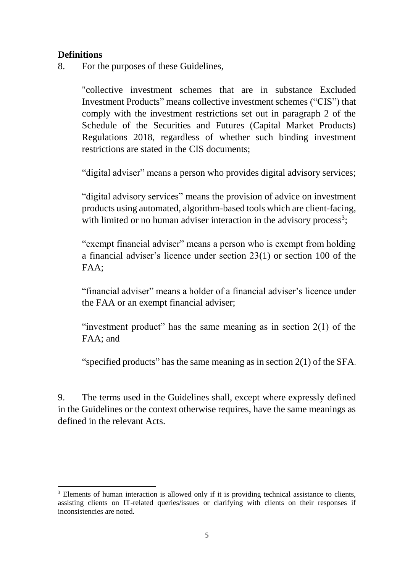#### <span id="page-4-0"></span>**Definitions**

8. For the purposes of these Guidelines,

"collective investment schemes that are in substance Excluded Investment Products" means collective investment schemes ("CIS") that comply with the investment restrictions set out in paragraph 2 of the Schedule of the Securities and Futures (Capital Market Products) Regulations 2018, regardless of whether such binding investment restrictions are stated in the CIS documents;

"digital adviser" means a person who provides digital advisory services;

"digital advisory services" means the provision of advice on investment products using automated, algorithm-based tools which are client-facing, with limited or no human adviser interaction in the advisory process<sup>3</sup>;

"exempt financial adviser" means a person who is exempt from holding a financial adviser's licence under section 23(1) or section 100 of the FAA;

"financial adviser" means a holder of a financial adviser's licence under the FAA or an exempt financial adviser;

"investment product" has the same meaning as in section  $2(1)$  of the FAA; and

"specified products" has the same meaning as in section 2(1) of the SFA.

9. The terms used in the Guidelines shall, except where expressly defined in the Guidelines or the context otherwise requires, have the same meanings as defined in the relevant Acts.

**<sup>.</sup>** <sup>3</sup> Elements of human interaction is allowed only if it is providing technical assistance to clients, assisting clients on IT-related queries/issues or clarifying with clients on their responses if inconsistencies are noted.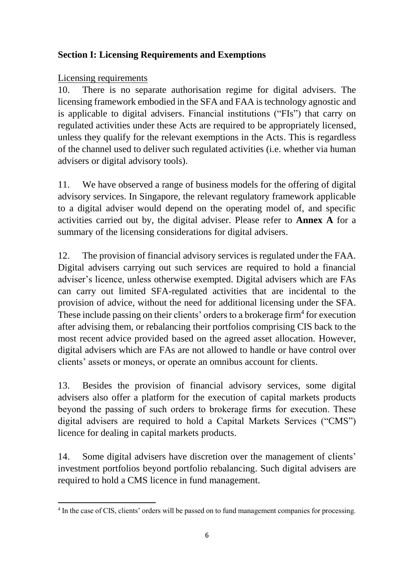## <span id="page-5-0"></span>**Section I: Licensing Requirements and Exemptions**

#### <span id="page-5-1"></span>Licensing requirements

10. There is no separate authorisation regime for digital advisers. The licensing framework embodied in the SFA and FAA is technology agnostic and is applicable to digital advisers. Financial institutions ("FIs") that carry on regulated activities under these Acts are required to be appropriately licensed, unless they qualify for the relevant exemptions in the Acts. This is regardless of the channel used to deliver such regulated activities (i.e. whether via human advisers or digital advisory tools).

11. We have observed a range of business models for the offering of digital advisory services. In Singapore, the relevant regulatory framework applicable to a digital adviser would depend on the operating model of, and specific activities carried out by, the digital adviser. Please refer to **Annex A** for a summary of the licensing considerations for digital advisers.

12. The provision of financial advisory services is regulated under the FAA. Digital advisers carrying out such services are required to hold a financial adviser's licence, unless otherwise exempted. Digital advisers which are FAs can carry out limited SFA-regulated activities that are incidental to the provision of advice, without the need for additional licensing under the SFA. These include passing on their clients' orders to a brokerage firm<sup>4</sup> for execution after advising them, or rebalancing their portfolios comprising CIS back to the most recent advice provided based on the agreed asset allocation. However, digital advisers which are FAs are not allowed to handle or have control over clients' assets or moneys, or operate an omnibus account for clients.

13. Besides the provision of financial advisory services, some digital advisers also offer a platform for the execution of capital markets products beyond the passing of such orders to brokerage firms for execution. These digital advisers are required to hold a Capital Markets Services ("CMS") licence for dealing in capital markets products.

14. Some digital advisers have discretion over the management of clients' investment portfolios beyond portfolio rebalancing. Such digital advisers are required to hold a CMS licence in fund management.

<sup>1</sup> <sup>4</sup> In the case of CIS, clients' orders will be passed on to fund management companies for processing.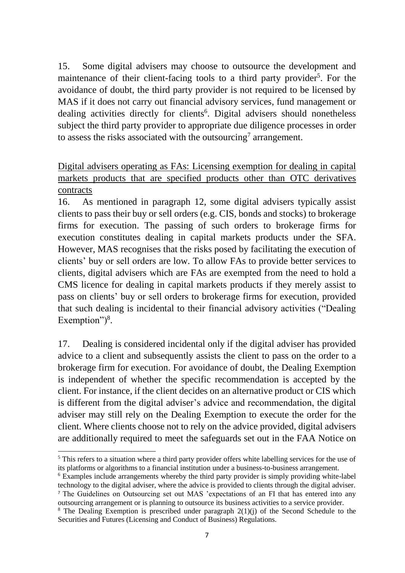15. Some digital advisers may choose to outsource the development and maintenance of their client-facing tools to a third party provider<sup>5</sup>. For the avoidance of doubt, the third party provider is not required to be licensed by MAS if it does not carry out financial advisory services, fund management or dealing activities directly for clients<sup>6</sup>. Digital advisers should nonetheless subject the third party provider to appropriate due diligence processes in order to assess the risks associated with the outsourcing<sup>7</sup> arrangement.

## <span id="page-6-0"></span>Digital advisers operating as FAs: Licensing exemption for dealing in capital markets products that are specified products other than OTC derivatives contracts

16. As mentioned in paragraph 12, some digital advisers typically assist clients to pass their buy or sell orders (e.g. CIS, bonds and stocks) to brokerage firms for execution. The passing of such orders to brokerage firms for execution constitutes dealing in capital markets products under the SFA. However, MAS recognises that the risks posed by facilitating the execution of clients' buy or sell orders are low. To allow FAs to provide better services to clients, digital advisers which are FAs are exempted from the need to hold a CMS licence for dealing in capital markets products if they merely assist to pass on clients' buy or sell orders to brokerage firms for execution, provided that such dealing is incidental to their financial advisory activities ("Dealing Exemption") $8$ .

17. Dealing is considered incidental only if the digital adviser has provided advice to a client and subsequently assists the client to pass on the order to a brokerage firm for execution. For avoidance of doubt, the Dealing Exemption is independent of whether the specific recommendation is accepted by the client. For instance, if the client decides on an alternative product or CIS which is different from the digital adviser's advice and recommendation, the digital adviser may still rely on the Dealing Exemption to execute the order for the client. Where clients choose not to rely on the advice provided, digital advisers are additionally required to meet the safeguards set out in the FAA Notice on

**.** 

<sup>&</sup>lt;sup>5</sup> This refers to a situation where a third party provider offers white labelling services for the use of its platforms or algorithms to a financial institution under a business-to-business arrangement.

<sup>6</sup> Examples include arrangements whereby the third party provider is simply providing white-label technology to the digital adviser, where the advice is provided to clients through the digital adviser. <sup>7</sup> The Guidelines on Outsourcing set out MAS 'expectations of an FI that has entered into any

outsourcing arrangement or is planning to outsource its business activities to a service provider. <sup>8</sup> The Dealing Exemption is prescribed under paragraph 2(1)(j) of the Second Schedule to the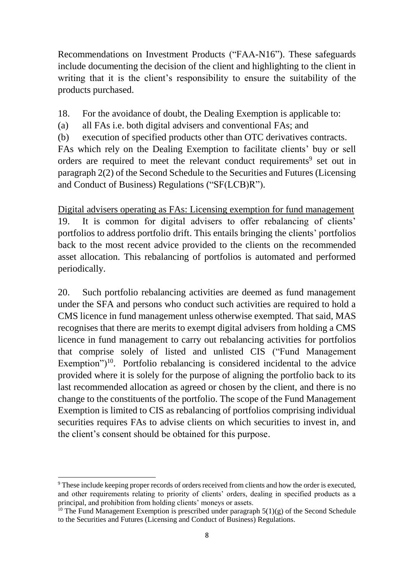Recommendations on Investment Products ("FAA-N16"). These safeguards include documenting the decision of the client and highlighting to the client in writing that it is the client's responsibility to ensure the suitability of the products purchased.

- 18. For the avoidance of doubt, the Dealing Exemption is applicable to:
- (a) all FAs i.e. both digital advisers and conventional FAs; and
- (b) execution of specified products other than OTC derivatives contracts.

FAs which rely on the Dealing Exemption to facilitate clients' buy or sell orders are required to meet the relevant conduct requirements<sup>9</sup> set out in paragraph 2(2) of the Second Schedule to the Securities and Futures (Licensing and Conduct of Business) Regulations ("SF(LCB)R").

<span id="page-7-0"></span>Digital advisers operating as FAs: Licensing exemption for fund management 19. It is common for digital advisers to offer rebalancing of clients' portfolios to address portfolio drift. This entails bringing the clients' portfolios back to the most recent advice provided to the clients on the recommended asset allocation. This rebalancing of portfolios is automated and performed periodically.

20. Such portfolio rebalancing activities are deemed as fund management under the SFA and persons who conduct such activities are required to hold a CMS licence in fund management unless otherwise exempted. That said, MAS recognises that there are merits to exempt digital advisers from holding a CMS licence in fund management to carry out rebalancing activities for portfolios that comprise solely of listed and unlisted CIS ("Fund Management Exemption") $10$ . Portfolio rebalancing is considered incidental to the advice provided where it is solely for the purpose of aligning the portfolio back to its last recommended allocation as agreed or chosen by the client, and there is no change to the constituents of the portfolio. The scope of the Fund Management Exemption is limited to CIS as rebalancing of portfolios comprising individual securities requires FAs to advise clients on which securities to invest in, and the client's consent should be obtained for this purpose.

**<sup>.</sup>** <sup>9</sup> These include keeping proper records of orders received from clients and how the order is executed, and other requirements relating to priority of clients' orders, dealing in specified products as a principal, and prohibition from holding clients' moneys or assets.

<sup>&</sup>lt;sup>10</sup> The Fund Management Exemption is prescribed under paragraph  $5(1)(g)$  of the Second Schedule to the Securities and Futures (Licensing and Conduct of Business) Regulations.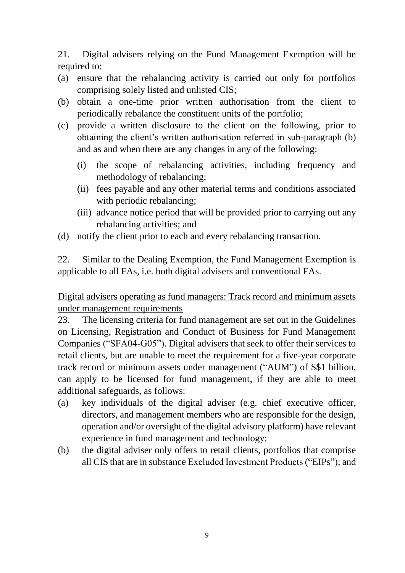21. Digital advisers relying on the Fund Management Exemption will be required to:

- (a) ensure that the rebalancing activity is carried out only for portfolios comprising solely listed and unlisted CIS;
- (b) obtain a one-time prior written authorisation from the client to periodically rebalance the constituent units of the portfolio;
- (c) provide a written disclosure to the client on the following, prior to obtaining the client's written authorisation referred in sub-paragraph (b) and as and when there are any changes in any of the following:
	- (i) the scope of rebalancing activities, including frequency and methodology of rebalancing;
	- (ii) fees payable and any other material terms and conditions associated with periodic rebalancing;
	- (iii) advance notice period that will be provided prior to carrying out any rebalancing activities; and
- (d) notify the client prior to each and every rebalancing transaction.

22. Similar to the Dealing Exemption, the Fund Management Exemption is applicable to all FAs, i.e. both digital advisers and conventional FAs.

<span id="page-8-0"></span>Digital advisers operating as fund managers: Track record and minimum assets under management requirements

23. The licensing criteria for fund management are set out in the Guidelines on Licensing, Registration and Conduct of Business for Fund Management Companies ("SFA04-G05"). Digital advisers that seek to offer their services to retail clients, but are unable to meet the requirement for a five-year corporate track record or minimum assets under management ("AUM") of S\$1 billion, can apply to be licensed for fund management, if they are able to meet additional safeguards, as follows:

- (a) key individuals of the digital adviser (e.g. chief executive officer, directors, and management members who are responsible for the design, operation and/or oversight of the digital advisory platform) have relevant experience in fund management and technology;
- (b) the digital adviser only offers to retail clients, portfolios that comprise all CIS that are in substance Excluded Investment Products ("EIPs"); and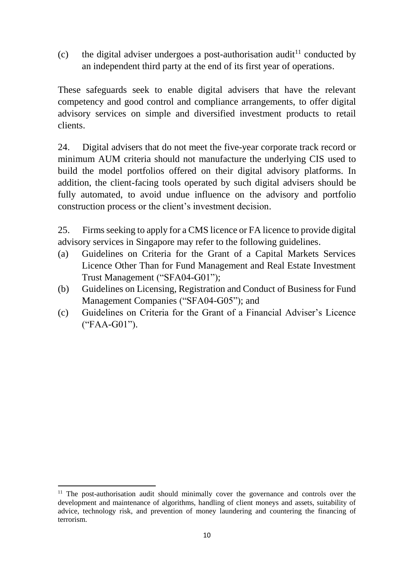(c) the digital adviser undergoes a post-authorisation audit<sup>11</sup> conducted by an independent third party at the end of its first year of operations.

These safeguards seek to enable digital advisers that have the relevant competency and good control and compliance arrangements, to offer digital advisory services on simple and diversified investment products to retail clients.

24. Digital advisers that do not meet the five-year corporate track record or minimum AUM criteria should not manufacture the underlying CIS used to build the model portfolios offered on their digital advisory platforms. In addition, the client-facing tools operated by such digital advisers should be fully automated, to avoid undue influence on the advisory and portfolio construction process or the client's investment decision.

25. Firms seeking to apply for a CMS licence or FA licence to provide digital advisory services in Singapore may refer to the following guidelines.

- (a) Guidelines on Criteria for the Grant of a Capital Markets Services Licence Other Than for Fund Management and Real Estate Investment Trust Management ("SFA04-G01");
- (b) Guidelines on Licensing, Registration and Conduct of Business for Fund Management Companies ("SFA04-G05"); and
- (c) Guidelines on Criteria for the Grant of a Financial Adviser's Licence ("FAA-G01").

**.** 

<sup>&</sup>lt;sup>11</sup> The post-authorisation audit should minimally cover the governance and controls over the development and maintenance of algorithms, handling of client moneys and assets, suitability of advice, technology risk, and prevention of money laundering and countering the financing of terrorism.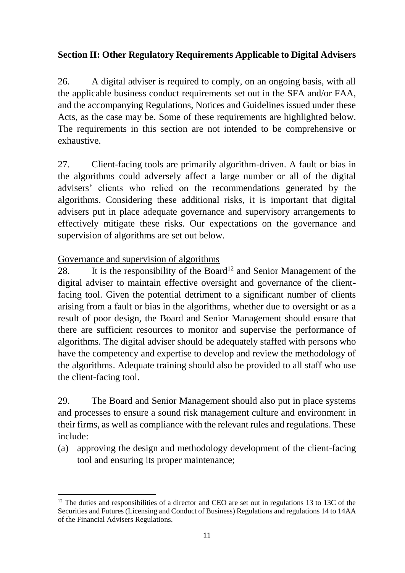## <span id="page-10-0"></span>**Section II: Other Regulatory Requirements Applicable to Digital Advisers**

26. A digital adviser is required to comply, on an ongoing basis, with all the applicable business conduct requirements set out in the SFA and/or FAA, and the accompanying Regulations, Notices and Guidelines issued under these Acts, as the case may be. Some of these requirements are highlighted below. The requirements in this section are not intended to be comprehensive or exhaustive.

27. Client-facing tools are primarily algorithm-driven. A fault or bias in the algorithms could adversely affect a large number or all of the digital advisers' clients who relied on the recommendations generated by the algorithms. Considering these additional risks, it is important that digital advisers put in place adequate governance and supervisory arrangements to effectively mitigate these risks. Our expectations on the governance and supervision of algorithms are set out below.

<span id="page-10-1"></span>Governance and supervision of algorithms

28. It is the responsibility of the Board<sup>12</sup> and Senior Management of the digital adviser to maintain effective oversight and governance of the clientfacing tool. Given the potential detriment to a significant number of clients arising from a fault or bias in the algorithms, whether due to oversight or as a result of poor design, the Board and Senior Management should ensure that there are sufficient resources to monitor and supervise the performance of algorithms. The digital adviser should be adequately staffed with persons who have the competency and expertise to develop and review the methodology of the algorithms. Adequate training should also be provided to all staff who use the client-facing tool.

29. The Board and Senior Management should also put in place systems and processes to ensure a sound risk management culture and environment in their firms, as well as compliance with the relevant rules and regulations. These include:

(a) approving the design and methodology development of the client-facing tool and ensuring its proper maintenance;

 $\overline{a}$  $12$  The duties and responsibilities of a director and CEO are set out in regulations 13 to 13C of the Securities and Futures (Licensing and Conduct of Business) Regulations and regulations 14 to 14AA of the Financial Advisers Regulations.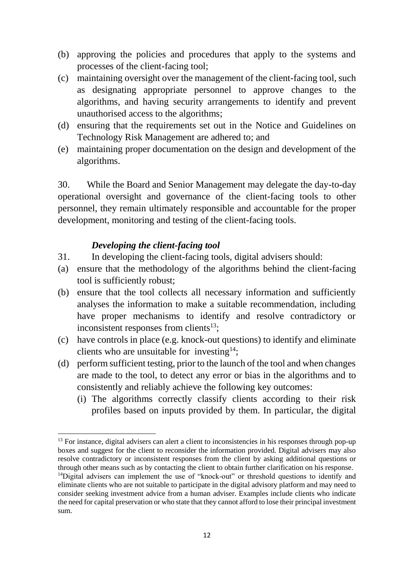- (b) approving the policies and procedures that apply to the systems and processes of the client-facing tool;
- (c) maintaining oversight over the management of the client-facing tool, such as designating appropriate personnel to approve changes to the algorithms, and having security arrangements to identify and prevent unauthorised access to the algorithms;
- (d) ensuring that the requirements set out in the Notice and Guidelines on Technology Risk Management are adhered to; and
- (e) maintaining proper documentation on the design and development of the algorithms.

30. While the Board and Senior Management may delegate the day-to-day operational oversight and governance of the client-facing tools to other personnel, they remain ultimately responsible and accountable for the proper development, monitoring and testing of the client-facing tools.

#### *Developing the client-facing tool*

**.** 

- <span id="page-11-0"></span>31. In developing the client-facing tools, digital advisers should:
- (a) ensure that the methodology of the algorithms behind the client-facing tool is sufficiently robust;
- (b) ensure that the tool collects all necessary information and sufficiently analyses the information to make a suitable recommendation, including have proper mechanisms to identify and resolve contradictory or inconsistent responses from clients<sup>13</sup>;
- (c) have controls in place (e.g. knock-out questions) to identify and eliminate clients who are unsuitable for investing<sup>14</sup>;
- (d) perform sufficient testing, prior to the launch of the tool and when changes are made to the tool, to detect any error or bias in the algorithms and to consistently and reliably achieve the following key outcomes:
	- (i) The algorithms correctly classify clients according to their risk profiles based on inputs provided by them. In particular, the digital

<sup>&</sup>lt;sup>13</sup> For instance, digital advisers can alert a client to inconsistencies in his responses through pop-up boxes and suggest for the client to reconsider the information provided. Digital advisers may also resolve contradictory or inconsistent responses from the client by asking additional questions or through other means such as by contacting the client to obtain further clarification on his response.

<sup>&</sup>lt;sup>14</sup>Digital advisers can implement the use of "knock-out" or threshold questions to identify and eliminate clients who are not suitable to participate in the digital advisory platform and may need to consider seeking investment advice from a human adviser. Examples include clients who indicate the need for capital preservation or who state that they cannot afford to lose their principal investment sum.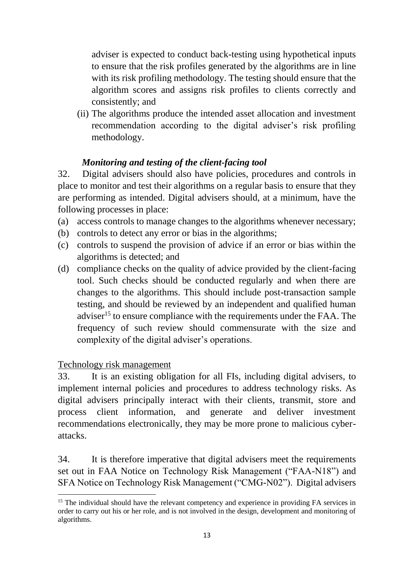adviser is expected to conduct back-testing using hypothetical inputs to ensure that the risk profiles generated by the algorithms are in line with its risk profiling methodology. The testing should ensure that the algorithm scores and assigns risk profiles to clients correctly and consistently; and

(ii) The algorithms produce the intended asset allocation and investment recommendation according to the digital adviser's risk profiling methodology.

#### *Monitoring and testing of the client-facing tool*

<span id="page-12-0"></span>32. Digital advisers should also have policies, procedures and controls in place to monitor and test their algorithms on a regular basis to ensure that they are performing as intended. Digital advisers should, at a minimum, have the following processes in place:

- (a) access controls to manage changes to the algorithms whenever necessary;
- (b) controls to detect any error or bias in the algorithms;
- (c) controls to suspend the provision of advice if an error or bias within the algorithms is detected; and
- (d) compliance checks on the quality of advice provided by the client-facing tool. Such checks should be conducted regularly and when there are changes to the algorithms. This should include post-transaction sample testing, and should be reviewed by an independent and qualified human adviser<sup>15</sup> to ensure compliance with the requirements under the FAA. The frequency of such review should commensurate with the size and complexity of the digital adviser's operations.

#### <span id="page-12-1"></span>Technology risk management

 $\overline{a}$ 

33. It is an existing obligation for all FIs, including digital advisers, to implement internal policies and procedures to address technology risks. As digital advisers principally interact with their clients, transmit, store and process client information, and generate and deliver investment recommendations electronically, they may be more prone to malicious cyberattacks.

34. It is therefore imperative that digital advisers meet the requirements set out in FAA Notice on Technology Risk Management ("FAA-N18") and SFA Notice on Technology Risk Management ("CMG-N02"). Digital advisers

<sup>&</sup>lt;sup>15</sup> The individual should have the relevant competency and experience in providing FA services in order to carry out his or her role, and is not involved in the design, development and monitoring of algorithms.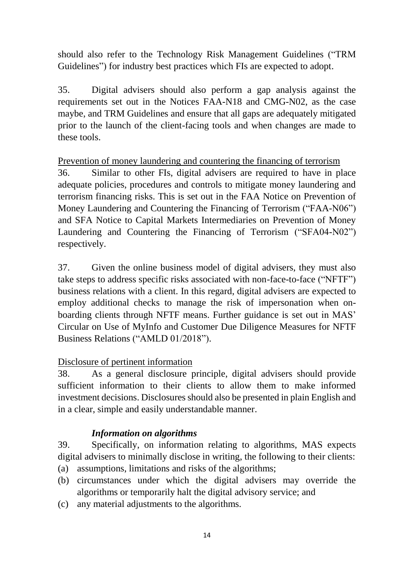should also refer to the Technology Risk Management Guidelines ("TRM Guidelines") for industry best practices which FIs are expected to adopt.

35. Digital advisers should also perform a gap analysis against the requirements set out in the Notices FAA-N18 and CMG-N02, as the case maybe, and TRM Guidelines and ensure that all gaps are adequately mitigated prior to the launch of the client-facing tools and when changes are made to these tools.

#### <span id="page-13-0"></span>Prevention of money laundering and countering the financing of terrorism

36. Similar to other FIs, digital advisers are required to have in place adequate policies, procedures and controls to mitigate money laundering and terrorism financing risks. This is set out in the FAA Notice on Prevention of Money Laundering and Countering the Financing of Terrorism ("FAA-N06") and SFA Notice to Capital Markets Intermediaries on Prevention of Money Laundering and Countering the Financing of Terrorism ("SFA04-N02") respectively.

37. Given the online business model of digital advisers, they must also take steps to address specific risks associated with non-face-to-face ("NFTF") business relations with a client. In this regard, digital advisers are expected to employ additional checks to manage the risk of impersonation when onboarding clients through NFTF means. Further guidance is set out in MAS' Circular on Use of MyInfo and Customer Due Diligence Measures for NFTF Business Relations ("AMLD 01/2018").

## <span id="page-13-1"></span>Disclosure of pertinent information

38. As a general disclosure principle, digital advisers should provide sufficient information to their clients to allow them to make informed investment decisions. Disclosures should also be presented in plain English and in a clear, simple and easily understandable manner.

#### *Information on algorithms*

<span id="page-13-2"></span>39. Specifically, on information relating to algorithms, MAS expects digital advisers to minimally disclose in writing, the following to their clients:

- (a) assumptions, limitations and risks of the algorithms;
- (b) circumstances under which the digital advisers may override the algorithms or temporarily halt the digital advisory service; and
- (c) any material adjustments to the algorithms.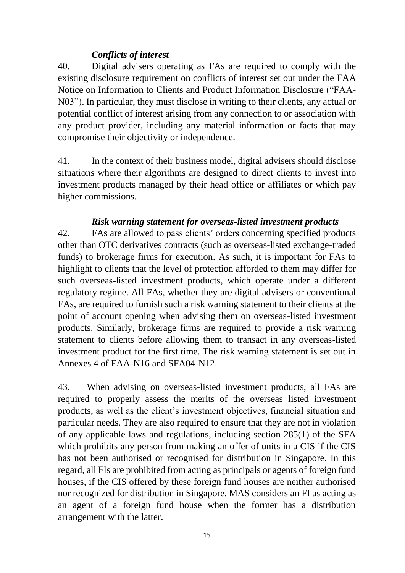#### *Conflicts of interest*

<span id="page-14-0"></span>40. Digital advisers operating as FAs are required to comply with the existing disclosure requirement on conflicts of interest set out under the FAA Notice on Information to Clients and Product Information Disclosure ("FAA-N03"). In particular, they must disclose in writing to their clients, any actual or potential conflict of interest arising from any connection to or association with any product provider, including any material information or facts that may compromise their objectivity or independence.

41. In the context of their business model, digital advisers should disclose situations where their algorithms are designed to direct clients to invest into investment products managed by their head office or affiliates or which pay higher commissions.

#### *Risk warning statement for overseas-listed investment products*

<span id="page-14-1"></span>42. FAs are allowed to pass clients' orders concerning specified products other than OTC derivatives contracts (such as overseas-listed exchange-traded funds) to brokerage firms for execution. As such, it is important for FAs to highlight to clients that the level of protection afforded to them may differ for such overseas-listed investment products, which operate under a different regulatory regime. All FAs, whether they are digital advisers or conventional FAs, are required to furnish such a risk warning statement to their clients at the point of account opening when advising them on overseas-listed investment products. Similarly, brokerage firms are required to provide a risk warning statement to clients before allowing them to transact in any overseas-listed investment product for the first time. The risk warning statement is set out in Annexes 4 of FAA-N16 and SFA04-N12.

43. When advising on overseas-listed investment products, all FAs are required to properly assess the merits of the overseas listed investment products, as well as the client's investment objectives, financial situation and particular needs. They are also required to ensure that they are not in violation of any applicable laws and regulations, including section 285(1) of the SFA which prohibits any person from making an offer of units in a CIS if the CIS has not been authorised or recognised for distribution in Singapore. In this regard, all FIs are prohibited from acting as principals or agents of foreign fund houses, if the CIS offered by these foreign fund houses are neither authorised nor recognized for distribution in Singapore. MAS considers an FI as acting as an agent of a foreign fund house when the former has a distribution arrangement with the latter.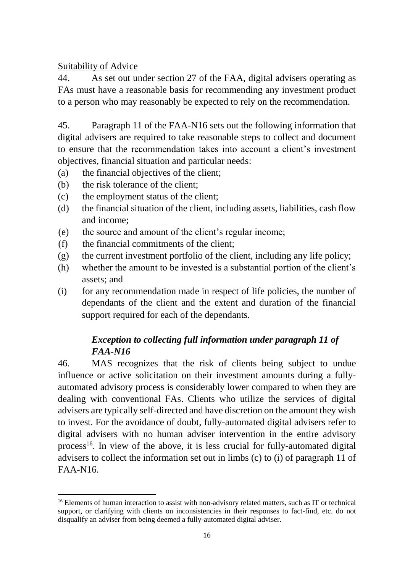#### <span id="page-15-0"></span>Suitability of Advice

44. As set out under section 27 of the FAA, digital advisers operating as FAs must have a reasonable basis for recommending any investment product to a person who may reasonably be expected to rely on the recommendation.

45. Paragraph 11 of the FAA-N16 sets out the following information that digital advisers are required to take reasonable steps to collect and document to ensure that the recommendation takes into account a client's investment objectives, financial situation and particular needs:

- (a) the financial objectives of the client;
- (b) the risk tolerance of the client;
- (c) the employment status of the client;
- (d) the financial situation of the client, including assets, liabilities, cash flow and income;
- (e) the source and amount of the client's regular income;
- (f) the financial commitments of the client;
- (g) the current investment portfolio of the client, including any life policy;
- (h) whether the amount to be invested is a substantial portion of the client's assets; and
- (i) for any recommendation made in respect of life policies, the number of dependants of the client and the extent and duration of the financial support required for each of the dependants.

## *Exception to collecting full information under paragraph 11 of FAA-N16*

<span id="page-15-1"></span>46. MAS recognizes that the risk of clients being subject to undue influence or active solicitation on their investment amounts during a fullyautomated advisory process is considerably lower compared to when they are dealing with conventional FAs. Clients who utilize the services of digital advisers are typically self-directed and have discretion on the amount they wish to invest. For the avoidance of doubt, fully-automated digital advisers refer to digital advisers with no human adviser intervention in the entire advisory process<sup>16</sup>. In view of the above, it is less crucial for fully-automated digital advisers to collect the information set out in limbs (c) to (i) of paragraph 11 of FAA-N16.

 $\overline{a}$ <sup>16</sup> Elements of human interaction to assist with non-advisory related matters, such as IT or technical support, or clarifying with clients on inconsistencies in their responses to fact-find, etc. do not disqualify an adviser from being deemed a fully-automated digital adviser.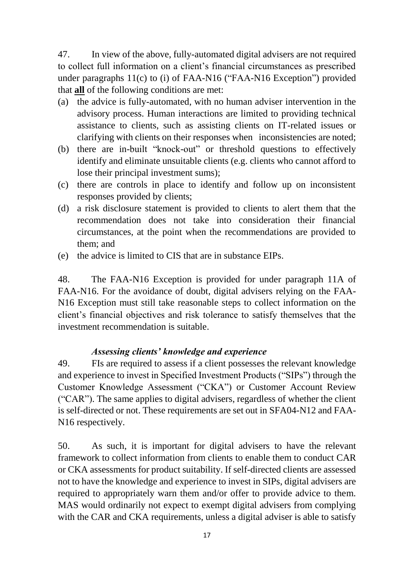47. In view of the above, fully-automated digital advisers are not required to collect full information on a client's financial circumstances as prescribed under paragraphs 11(c) to (i) of FAA-N16 ("FAA-N16 Exception") provided that **all** of the following conditions are met:

- (a) the advice is fully-automated, with no human adviser intervention in the advisory process. Human interactions are limited to providing technical assistance to clients, such as assisting clients on IT-related issues or clarifying with clients on their responses when inconsistencies are noted;
- (b) there are in-built "knock-out" or threshold questions to effectively identify and eliminate unsuitable clients (e.g. clients who cannot afford to lose their principal investment sums);
- (c) there are controls in place to identify and follow up on inconsistent responses provided by clients;
- (d) a risk disclosure statement is provided to clients to alert them that the recommendation does not take into consideration their financial circumstances, at the point when the recommendations are provided to them; and
- (e) the advice is limited to CIS that are in substance EIPs.

48. The FAA-N16 Exception is provided for under paragraph 11A of FAA-N16. For the avoidance of doubt, digital advisers relying on the FAA-N16 Exception must still take reasonable steps to collect information on the client's financial objectives and risk tolerance to satisfy themselves that the investment recommendation is suitable.

## <span id="page-16-0"></span>*Assessing clients' knowledge and experience*

49. FIs are required to assess if a client possesses the relevant knowledge and experience to invest in Specified Investment Products ("SIPs") through the Customer Knowledge Assessment ("CKA") or Customer Account Review ("CAR"). The same applies to digital advisers, regardless of whether the client is self-directed or not. These requirements are set out in SFA04-N12 and FAA-N16 respectively.

50. As such, it is important for digital advisers to have the relevant framework to collect information from clients to enable them to conduct CAR or CKA assessments for product suitability. If self-directed clients are assessed not to have the knowledge and experience to invest in SIPs, digital advisers are required to appropriately warn them and/or offer to provide advice to them. MAS would ordinarily not expect to exempt digital advisers from complying with the CAR and CKA requirements, unless a digital adviser is able to satisfy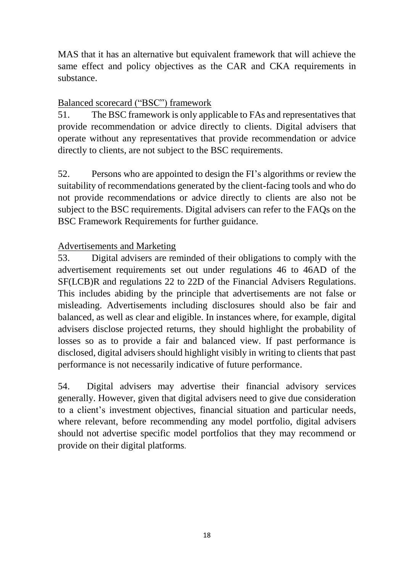MAS that it has an alternative but equivalent framework that will achieve the same effect and policy objectives as the CAR and CKA requirements in substance.

## <span id="page-17-0"></span>Balanced scorecard ("BSC") framework

51. The BSC framework is only applicable to FAs and representatives that provide recommendation or advice directly to clients. Digital advisers that operate without any representatives that provide recommendation or advice directly to clients, are not subject to the BSC requirements.

52. Persons who are appointed to design the FI's algorithms or review the suitability of recommendations generated by the client-facing tools and who do not provide recommendations or advice directly to clients are also not be subject to the BSC requirements. Digital advisers can refer to the FAQs on the BSC Framework Requirements for further guidance.

## <span id="page-17-1"></span>Advertisements and Marketing

53. Digital advisers are reminded of their obligations to comply with the advertisement requirements set out under regulations 46 to 46AD of the SF(LCB)R and regulations 22 to 22D of the Financial Advisers Regulations. This includes abiding by the principle that advertisements are not false or misleading. Advertisements including disclosures should also be fair and balanced, as well as clear and eligible. In instances where, for example, digital advisers disclose projected returns, they should highlight the probability of losses so as to provide a fair and balanced view. If past performance is disclosed, digital advisers should highlight visibly in writing to clients that past performance is not necessarily indicative of future performance.

54. Digital advisers may advertise their financial advisory services generally. However, given that digital advisers need to give due consideration to a client's investment objectives, financial situation and particular needs, where relevant, before recommending any model portfolio, digital advisers should not advertise specific model portfolios that they may recommend or provide on their digital platforms.